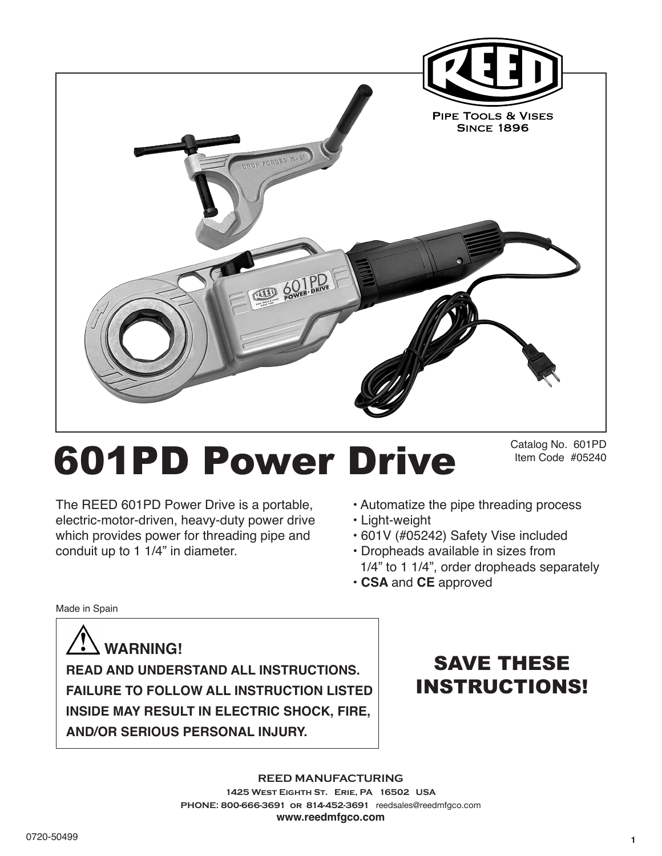

# 601PD Power Drive

Catalog No. 601PD Item Code #05240

The REED 601PD Power Drive is a portable, electric-motor-driven, heavy-duty power drive which provides power for threading pipe and conduit up to 1 1/4" in diameter.

- Automatize the pipe threading process
- Light-weight
- 601V (#05242) Safety Vise included
- Dropheads available in sizes from 1/4" to 1 1/4", order dropheads separately
- **CSA** and **CE** approved

Made in Spain

 **WARNING! READ AND UNDERSTAND ALL INSTRUCTIONS. FAILURE TO FOLLOW ALL INSTRUCTION LISTED INSIDE MAY RESULT IN ELECTRIC SHOCK, FIRE, AND/OR SERIOUS PERSONAL INJURY.**

SAVE THESE INSTRUCTIONS!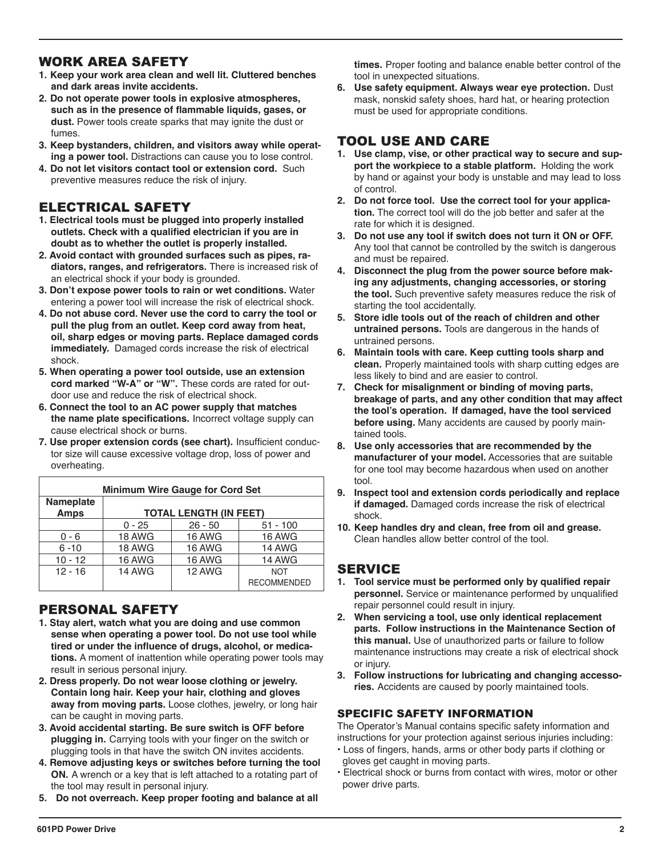# WORK AREA SAFETY

- **1. Keep your work area clean and well lit. Cluttered benches and dark areas invite accidents.**
- **2. Do not operate power tools in explosive atmospheres, such as in the presence of flammable liquids, gases, or dust.** Power tools create sparks that may ignite the dust or fumes.
- **3. Keep bystanders, children, and visitors away while operating a power tool.** Distractions can cause you to lose control.
- **4. Do not let visitors contact tool or extension cord.** Such preventive measures reduce the risk of injury.

# ELECTRICAL SAFETY

- **1. Electrical tools must be plugged into properly installed outlets. Check with a qualified electrician if you are in doubt as to whether the outlet is properly installed.**
- **2. Avoid contact with grounded surfaces such as pipes, radiators, ranges, and refrigerators.** There is increased risk of an electrical shock if your body is grounded.
- **3. Don't expose power tools to rain or wet conditions.** Water entering a power tool will increase the risk of electrical shock.
- **4. Do not abuse cord. Never use the cord to carry the tool or pull the plug from an outlet. Keep cord away from heat, oil, sharp edges or moving parts. Replace damaged cords immediately.** Damaged cords increase the risk of electrical shock.
- **5. When operating a power tool outside, use an extension cord marked "W-A" or "W".** These cords are rated for outdoor use and reduce the risk of electrical shock.
- **6. Connect the tool to an AC power supply that matches the name plate specifications.** Incorrect voltage supply can cause electrical shock or burns.
- **7. Use proper extension cords (see chart).** Insufficient conductor size will cause excessive voltage drop, loss of power and overheating.

| <b>Minimum Wire Gauge for Cord Set</b> |                               |               |                    |
|----------------------------------------|-------------------------------|---------------|--------------------|
| Nameplate                              |                               |               |                    |
| <b>Amps</b>                            | <b>TOTAL LENGTH (IN FEET)</b> |               |                    |
|                                        | $0 - 25$                      | $26 - 50$     | $51 - 100$         |
| $0 - 6$                                | 18 AWG                        | <b>16 AWG</b> | <b>16 AWG</b>      |
| $6 - 10$                               | 18 AWG                        | 16 AWG        | 14 AWG             |
| $10 - 12$                              | 16 AWG                        | 16 AWG        | <b>14 AWG</b>      |
| $12 - 16$                              | <b>14 AWG</b>                 | <b>12 AWG</b> | <b>NOT</b>         |
|                                        |                               |               | <b>RECOMMENDED</b> |

# PERSONAL SAFETY

- **1. Stay alert, watch what you are doing and use common sense when operating a power tool. Do not use tool while tired or under the influence of drugs, alcohol, or medications.** A moment of inattention while operating power tools may result in serious personal injury.
- **2. Dress properly. Do not wear loose clothing or jewelry. Contain long hair. Keep your hair, clothing and gloves away from moving parts.** Loose clothes, jewelry, or long hair can be caught in moving parts.
- **3. Avoid accidental starting. Be sure switch is OFF before plugging in.** Carrying tools with your finger on the switch or plugging tools in that have the switch ON invites accidents.
- **4. Remove adjusting keys or switches before turning the tool ON.** A wrench or a key that is left attached to a rotating part of the tool may result in personal injury.
- **5. Do not overreach. Keep proper footing and balance at all**

**times.** Proper footing and balance enable better control of the tool in unexpected situations.

**6. Use safety equipment. Always wear eye protection.** Dust mask, nonskid safety shoes, hard hat, or hearing protection must be used for appropriate conditions.

# TOOL USE AND CARE

- **1. Use clamp, vise, or other practical way to secure and support the workpiece to a stable platform.** Holding the work by hand or against your body is unstable and may lead to loss of control.
- **2. Do not force tool. Use the correct tool for your application.** The correct tool will do the job better and safer at the rate for which it is designed.
- **3. Do not use any tool if switch does not turn it ON or OFF.** Any tool that cannot be controlled by the switch is dangerous and must be repaired.
- **4. Disconnect the plug from the power source before making any adjustments, changing accessories, or storing the tool.** Such preventive safety measures reduce the risk of starting the tool accidentally.
- **5. Store idle tools out of the reach of children and other untrained persons.** Tools are dangerous in the hands of untrained persons.
- **6. Maintain tools with care. Keep cutting tools sharp and clean.** Properly maintained tools with sharp cutting edges are less likely to bind and are easier to control.
- **7. Check for misalignment or binding of moving parts, breakage of parts, and any other condition that may affect the tool's operation. If damaged, have the tool serviced before using.** Many accidents are caused by poorly maintained tools.
- **8. Use only accessories that are recommended by the manufacturer of your model.** Accessories that are suitable for one tool may become hazardous when used on another tool.
- **9. Inspect tool and extension cords periodically and replace if damaged.** Damaged cords increase the risk of electrical shock.
- **10. Keep handles dry and clean, free from oil and grease.**  Clean handles allow better control of the tool.

# SERVICE

- **1. Tool service must be performed only by qualified repair personnel.** Service or maintenance performed by unqualified repair personnel could result in injury.
- **2. When servicing a tool, use only identical replacement parts. Follow instructions in the Maintenance Section of this manual.** Use of unauthorized parts or failure to follow maintenance instructions may create a risk of electrical shock or injury.
- **3. Follow instructions for lubricating and changing accessories.** Accidents are caused by poorly maintained tools.

#### SPECIFIC SAFETY INFORMATION

The Operator's Manual contains specific safety information and instructions for your protection against serious injuries including:

- Loss of fingers, hands, arms or other body parts if clothing or gloves get caught in moving parts.
- Electrical shock or burns from contact with wires, motor or other power drive parts.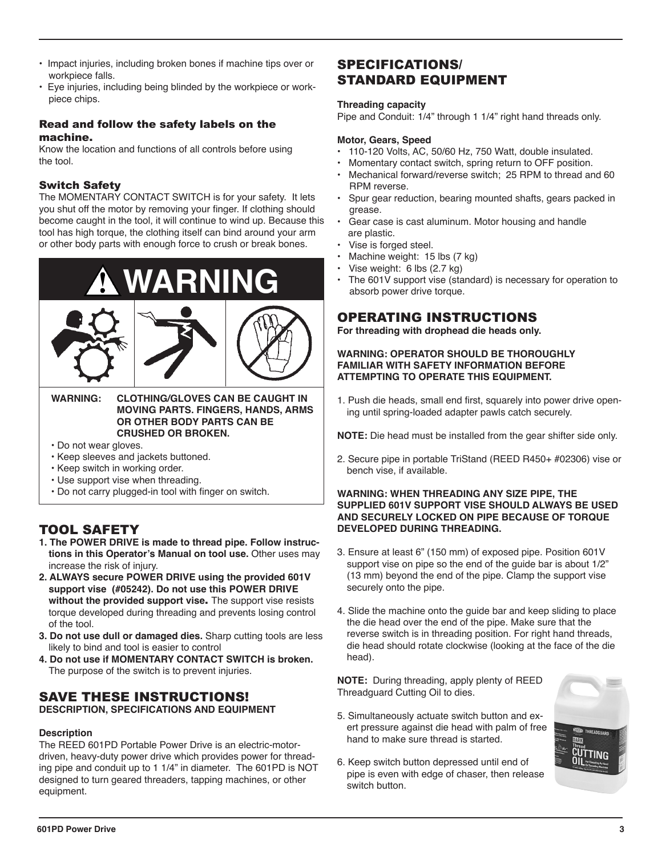- Impact injuries, including broken bones if machine tips over or workpiece falls.
- Eye injuries, including being blinded by the workpiece or workpiece chips.

#### Read and follow the safety labels on the machine.

Know the location and functions of all controls before using the tool.

### Switch Safety

The MOMENTARY CONTACT SWITCH is for your safety. It lets you shut off the motor by removing your finger. If clothing should become caught in the tool, it will continue to wind up. Because this tool has high torque, the clothing itself can bind around your arm or other body parts with enough force to crush or break bones.



## **MOVING PARTS. FINGERS, HANDS, ARMS OR OTHER BODY PARTS CAN BE CRUSHED OR BROKEN.**

- Do not wear gloves.
- Keep sleeves and jackets buttoned.
- Keep switch in working order.
- Use support vise when threading.
- Do not carry plugged-in tool with finger on switch.

# TOOL SAFETY

- **1. The POWER DRIVE is made to thread pipe. Follow instructions in this Operator's Manual on tool use.** Other uses may increase the risk of injury.
- **2. ALWAYS secure POWER DRIVE using the provided 601V support vise (#05242). Do not use this POWER DRIVE without the provided support vise**. The support vise resists torque developed during threading and prevents losing control of the tool.
- **3. Do not use dull or damaged dies.** Sharp cutting tools are less likely to bind and tool is easier to control
- **4. Do not use if MOMENTARY CONTACT SWITCH is broken.**  The purpose of the switch is to prevent injuries.

## SAVE THESE INSTRUCTIONS! **DESCRIPTION, SPECIFICATIONS AND EQUIPMENT**

#### **Description**

The REED 601PD Portable Power Drive is an electric-motordriven, heavy-duty power drive which provides power for threading pipe and conduit up to 1 1/4" in diameter. The 601PD is NOT designed to turn geared threaders, tapping machines, or other equipment.

# SPECIFICATIONS/ STANDARD EQUIPMENT

#### **Threading capacity**

Pipe and Conduit: 1/4" through 1 1/4" right hand threads only.

#### **Motor, Gears, Speed**

- 110-120 Volts, AC, 50/60 Hz, 750 Watt, double insulated.
- Momentary contact switch, spring return to OFF position.
- Mechanical forward/reverse switch; 25 RPM to thread and 60 RPM reverse.
- Spur gear reduction, bearing mounted shafts, gears packed in grease.
- Gear case is cast aluminum. Motor housing and handle are plastic.
- Vise is forged steel.
- Machine weight: 15 lbs (7 kg)
- Vise weight: 6 lbs (2.7 kg)
- The 601V support vise (standard) is necessary for operation to absorb power drive torque.

# OPERATING INSTRUCTIONS

**For threading with drophead die heads only.**

#### **WARNING: OPERATOR SHOULD BE THOROUGHLY FAMILIAR WITH SAFETY INFORMATION BEFORE ATTEMPTING TO OPERATE THIS EQUIPMENT.**

1. Push die heads, small end first, squarely into power drive opening until spring-loaded adapter pawls catch securely.

**NOTE:** Die head must be installed from the gear shifter side only.

2. Secure pipe in portable TriStand (REED R450+ #02306) vise or bench vise, if available.

#### **WARNING: WHEN THREADING ANY SIZE PIPE, THE SUPPLIED 601V SUPPORT VISE SHOULD ALWAYS BE USED AND SECURELY LOCKED ON PIPE BECAUSE OF TORQUE DEVELOPED DURING THREADING.**

- 3. Ensure at least 6" (150 mm) of exposed pipe. Position 601V support vise on pipe so the end of the guide bar is about  $1/2$ " (13 mm) beyond the end of the pipe. Clamp the support vise securely onto the pipe.
- 4. Slide the machine onto the guide bar and keep sliding to place the die head over the end of the pipe. Make sure that the reverse switch is in threading position. For right hand threads, die head should rotate clockwise (looking at the face of the die head).

**NOTE:** During threading, apply plenty of REED Threadguard Cutting Oil to dies.

- 5. Simultaneously actuate switch button and exert pressure against die head with palm of free hand to make sure thread is started.
- 6. Keep switch button depressed until end of pipe is even with edge of chaser, then release switch button.